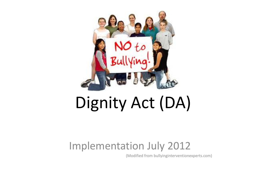

# Dignity Act (DA)

#### Implementation July 2012

(Modified from bullyinginterventionexperts.com)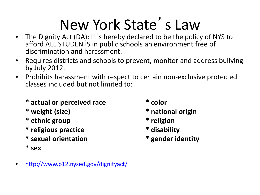# New York State's Law

- The Dignity Act (DA): It is hereby declared to be the policy of NYS to afford ALL STUDENTS in public schools an environment free of discrimination and harassment.
- Requires districts and schools to prevent, monitor and address bullying by July 2012.
- Prohibits harassment with respect to certain non-exclusive protected classes included but not limited to:
	- **\* actual or perceived race \* color**
	-
	- **\* ethnic group \* religion**
	- **\* religious practice \* disability**
	- **\* sexual orientation \* gender identity**
	- **\* sex**
- 
- **\* weight (size) \* national origin**
	-
	-
	-

• <http://www.p12.nysed.gov/dignityact/>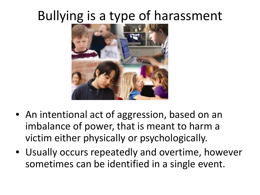### Bullying is a type of harassment



- An intentional act of aggression, based on an imbalance of power, that is meant to harm a victim either physically or psychologically.
- Usually occurs repeatedly and overtime, however sometimes can be identified in a single event.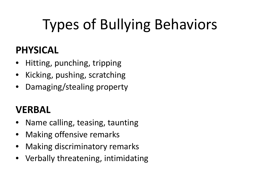# Types of Bullying Behaviors

#### **PHYSICAL**

- Hitting, punching, tripping
- Kicking, pushing, scratching
- Damaging/stealing property

#### **VERBAL**

- Name calling, teasing, taunting
- Making offensive remarks
- Making discriminatory remarks
- Verbally threatening, intimidating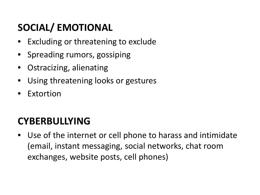#### **SOCIAL/ EMOTIONAL**

- Excluding or threatening to exclude
- Spreading rumors, gossiping
- Ostracizing, alienating
- Using threatening looks or gestures
- Extortion

#### **CYBERBULLYING**

• Use of the internet or cell phone to harass and intimidate (email, instant messaging, social networks, chat room exchanges, website posts, cell phones)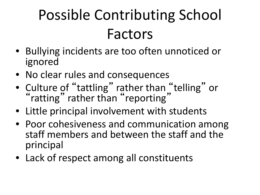# Possible Contributing School Factors

- Bullying incidents are too often unnoticed or ignored
- No clear rules and consequences
- Culture of "tattling" rather than "telling" or "ratting" rather than "reporting"
- Little principal involvement with students
- Poor cohesiveness and communication among staff members and between the staff and the principal
- Lack of respect among all constituents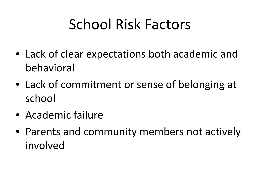# School Risk Factors

- Lack of clear expectations both academic and behavioral
- Lack of commitment or sense of belonging at school
- Academic failure
- Parents and community members not actively involved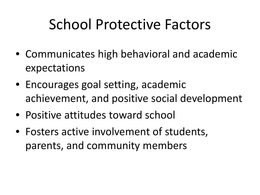## School Protective Factors

- Communicates high behavioral and academic expectations
- Encourages goal setting, academic achievement, and positive social development
- Positive attitudes toward school
- Fosters active involvement of students, parents, and community members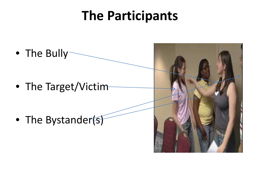### **The Participants**

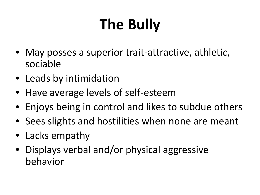# **The Bully**

- May posses a superior trait-attractive, athletic, sociable
- Leads by intimidation
- Have average levels of self-esteem
- Enjoys being in control and likes to subdue others
- Sees slights and hostilities when none are meant
- Lacks empathy
- Displays verbal and/or physical aggressive behavior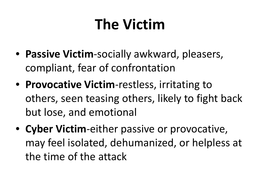# **The Victim**

- **Passive Victim**-socially awkward, pleasers, compliant, fear of confrontation
- **Provocative Victim**-restless, irritating to others, seen teasing others, likely to fight back but lose, and emotional
- **Cyber Victim**-either passive or provocative, may feel isolated, dehumanized, or helpless at the time of the attack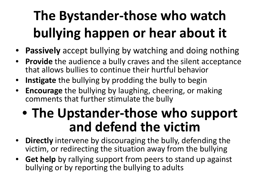# **The Bystander-those who watch bullying happen or hear about it**

- **Passively** accept bullying by watching and doing nothing
- **Provide** the audience a bully craves and the silent acceptance that allows bullies to continue their hurtful behavior
- **Instigate** the bullying by prodding the bully to begin
- **Encourage** the bullying by laughing, cheering, or making comments that further stimulate the bully

### • **The Upstander-those who support and defend the victim**

- **Directly** intervene by discouraging the bully, defending the victim, or redirecting the situation away from the bullying
- **Get help** by rallying support from peers to stand up against bullying or by reporting the bullying to adults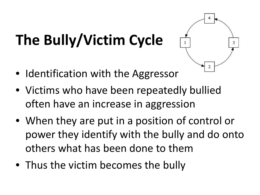# **The Bully/Victim Cycle**



- Identification with the Aggressor
- Victims who have been repeatedly bullied often have an increase in aggression
- When they are put in a position of control or power they identify with the bully and do onto others what has been done to them
- Thus the victim becomes the bully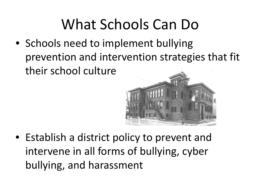## What Schools Can Do

• Schools need to implement bullying prevention and intervention strategies that fit their school culture



• Establish a district policy to prevent and intervene in all forms of bullying, cyber bullying, and harassment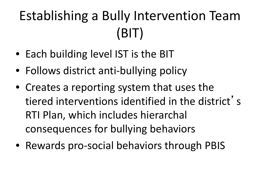# Establishing a Bully Intervention Team (BIT)

- Each building level IST is the BIT
- Follows district anti-bullying policy
- Creates a reporting system that uses the tiered interventions identified in the district' s RTI Plan, which includes hierarchal consequences for bullying behaviors
- Rewards pro-social behaviors through PBIS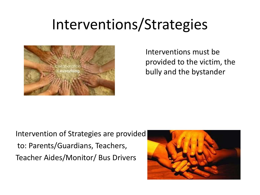### Interventions/Strategies



Interventions must be provided to the victim, the bully and the bystander

Intervention of Strategies are provided to: Parents/Guardians, Teachers, Teacher Aides/Monitor/ Bus Drivers

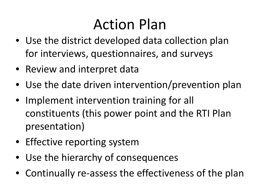## Action Plan

- Use the district developed data collection plan for interviews, questionnaires, and surveys
- Review and interpret data
- Use the date driven intervention/prevention plan
- Implement intervention training for all constituents (this power point and the RTI Plan presentation)
- Effective reporting system
- Use the hierarchy of consequences
- Continually re-assess the effectiveness of the plan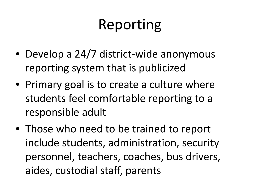# Reporting

- Develop a 24/7 district-wide anonymous reporting system that is publicized
- Primary goal is to create a culture where students feel comfortable reporting to a responsible adult
- Those who need to be trained to report include students, administration, security personnel, teachers, coaches, bus drivers, aides, custodial staff, parents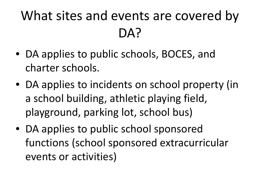### What sites and events are covered by DA?

- DA applies to public schools, BOCES, and charter schools.
- DA applies to incidents on school property (in a school building, athletic playing field, playground, parking lot, school bus)
- DA applies to public school sponsored functions (school sponsored extracurricular events or activities)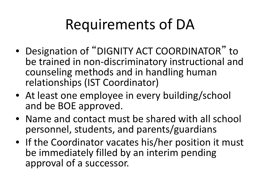# Requirements of DA

- Designation of "DIGNITY ACT COORDINATOR" to be trained in non-discriminatory instructional and counseling methods and in handling human relationships (IST Coordinator)
- At least one employee in every building/school and be BOE approved.
- Name and contact must be shared with all school personnel, students, and parents/guardians
- If the Coordinator vacates his/her position it must be immediately filled by an interim pending approval of a successor.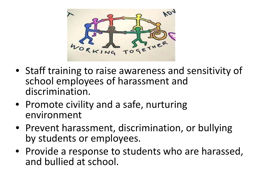

- Staff training to raise awareness and sensitivity of school employees of harassment and discrimination.
- Promote civility and a safe, nurturing environment
- Prevent harassment, discrimination, or bullying by students or employees.
- Provide a response to students who are harassed, and bullied at school.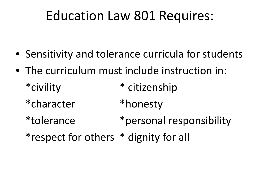### Education Law 801 Requires:

- Sensitivity and tolerance curricula for students
- The curriculum must include instruction in:
	- \*civility \* citizenship
	- \*character \*honesty
	- \*tolerance \*personal responsibility
	- \*respect for others \* dignity for all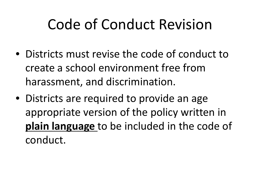# Code of Conduct Revision

- Districts must revise the code of conduct to create a school environment free from harassment, and discrimination.
- Districts are required to provide an age appropriate version of the policy written in **plain language** to be included in the code of conduct.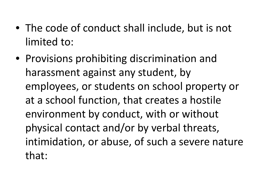- The code of conduct shall include, but is not limited to:
- Provisions prohibiting discrimination and harassment against any student, by employees, or students on school property or at a school function, that creates a hostile environment by conduct, with or without physical contact and/or by verbal threats, intimidation, or abuse, of such a severe nature that: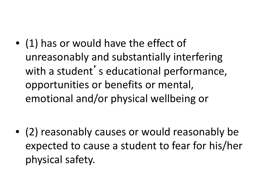• (1) has or would have the effect of unreasonably and substantially interfering with a student's educational performance, opportunities or benefits or mental, emotional and/or physical wellbeing or

• (2) reasonably causes or would reasonably be expected to cause a student to fear for his/her physical safety.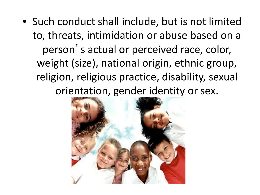• Such conduct shall include, but is not limited to, threats, intimidation or abuse based on a person 's actual or perceived race, color, weight (size), national origin, ethnic group, religion, religious practice, disability, sexual orientation, gender identity or sex.